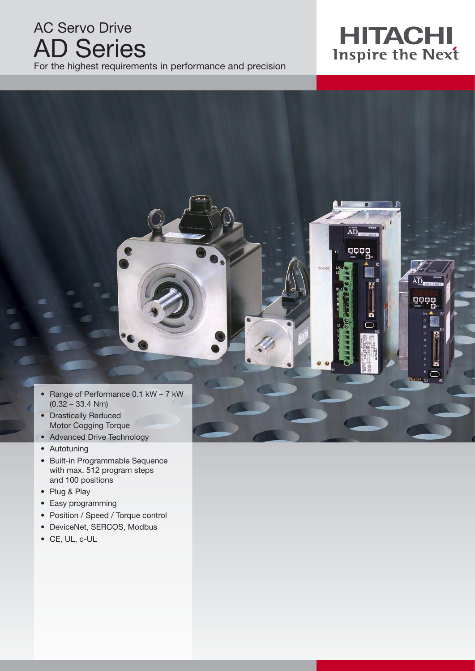# AC Servo Drive AD Series

For the highest requirements in performance and precision

# **HITACHI**<br>Inspire the Next

ÄD

OOOC

good

• Range of Performance 0.1 kW – 7 kW  $(0.32 - 33.4$  Nm)

 $\bullet$ 

- Drastically Reduced Motor Cogging Torque
- Advanced Drive Technology
- Autotuning
- Built-in Programmable Sequence with max. 512 program steps and 100 positions
- Plug & Play
- Easy programming
- Position / Speed / Torque control
- DeviceNet, SERCOS, Modbus
- CE, UL, c-UL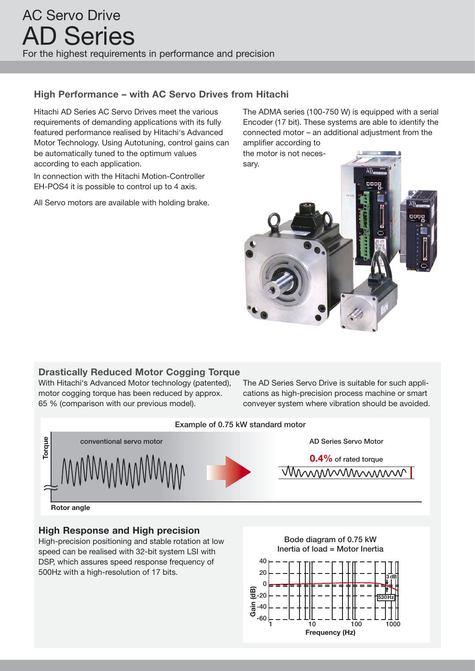### **High Performance – with AC Servo Drives from Hitachi**

Hitachi AD Series AC Servo Drives meet the various requirements of demanding applications with its fully featured performance realised by Hitachi's Advanced Motor Technology. Using Autotuning, control gains can be automatically tuned to the optimum values according to each application.

In connection with the Hitachi Motion-Controller EH-POS4 it is possible to control up to 4 axis.

All Servo motors are available with holding brake.

The ADMA series (100-750 W) is equipped with a serial Encoder (17 bit). These systems are able to identify the connected motor – an additional adjustment from the amplifier according to

the motor is not neces-



### **Drastically Reduced Motor Cogging Torque**

With Hitachi's Advanced Motor technology (patented), motor cogging torque has been reduced by approx. 65 % (comparison with our previous model).

The AD Series Servo Drive is suitable for such applications as high-precision process machine or smart conveyer system where vibration should be avoided.



### **High Response and High precision**

High-precision positioning and stable rotation at low  $\frac{3}{2}$  can be realised with 32-bit system LSI with DSP, which assures speed response frequency of 500Hz with a high-resolution of 17 bits. 20

Bode diagram of 0.75 kW Inertia of load = Motor Inertia

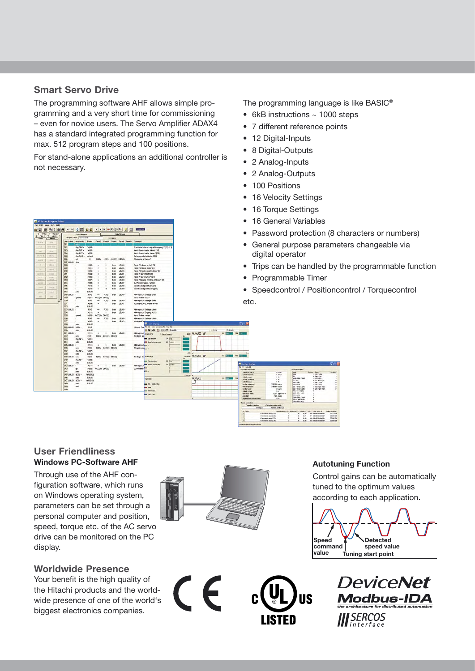#### **Smart Servo Drive**

The programming software AHF allows simple programming and a very short time for commissioning – even for novice users. The Servo Amplifier ADAX4 has a standard integrated programming function for max. 512 program steps and 100 positions.

For stand-alone applications an additional controller is not necessary.

|                                                                                                      | Code Window                      |                          |                    | <b>Cuita Window</b>          |                  |                                                                         |              |                   | $\bullet$                                                 |                                            | Password protection (8 characte                                                                  |
|------------------------------------------------------------------------------------------------------|----------------------------------|--------------------------|--------------------|------------------------------|------------------|-------------------------------------------------------------------------|--------------|-------------------|-----------------------------------------------------------|--------------------------------------------|--------------------------------------------------------------------------------------------------|
| <b>Program came: Beisermanuli</b><br>Line Labol mnonoric Farm1 Farm3 Farm3 Farm4 Farm5 Farm3 Connert |                                  |                          |                    | 43 Wes                       |                  |                                                                         |              |                   |                                                           |                                            |                                                                                                  |
| 001                                                                                                  |                                  |                          |                    |                              |                  |                                                                         |              |                   | $\bullet$                                                 |                                            | General purpose parameters cha                                                                   |
| OCD<br>Ung BPH =                                                                                     | Y(05)                            |                          |                    |                              |                  | Brensenmisteuerung mit Ausgang Y(05) [13]                               |              |                   |                                                           |                                            |                                                                                                  |
| the FCT =<br>OCT.<br>$= 1000$ grid<br>OD4                                                            | xcon<br><b>XECUTE</b>            |                          |                    |                              |                  | Mech. Endschalter "doen" (28)<br>Mech. Endschalter "unten" (258)        |              |                   |                                                           |                                            |                                                                                                  |
| OOS<br>$1\text{Pa}$ ORQ $\text{m}$                                                                   | default                          |                          |                    |                              |                  | Referenzialv1 oink@an [32]                                              |              |                   |                                                           | digital operator                           |                                                                                                  |
| ope.<br><b>M</b>                                                                                     | $\overline{2}$                   | <b>MTA</b>               | NOTE               | ACOTI DECITI                 |                  | 'Reference andalment'                                                   |              |                   |                                                           |                                            |                                                                                                  |
| 007 LBL00<br><b>Map</b><br>non                                                                       | x(00)                            |                          |                    | then.                        | 1,81.04          | Taste "Endings unter" (3)                                               |              |                   |                                                           |                                            |                                                                                                  |
| <b>CIOS</b>                                                                                          | NOT)                             |                          |                    | then                         | 18.06            | Techn "trydloge obey" [4]                                               |              |                   |                                                           |                                            | Trips can be handled by the prog                                                                 |
| O <sub>10</sub>                                                                                      | sense                            |                          |                    | <b>Diam</b>                  | <b>LBLOS</b>     | Teste "Empriesene Position" [5]                                         |              |                   |                                                           |                                            |                                                                                                  |
| 011                                                                                                  | <b>NEDE</b>                      |                          |                    | <b>Ban</b>                   | LELC1            | Tada 'Tatas hoch' 19                                                    |              |                   |                                                           |                                            |                                                                                                  |
| 012<br>out                                                                                           | HOOT!<br>XCP)                    |                          |                    | <b>Burn</b>                  | LQ,02<br>(B.63)  | Texte 'Faire runter' (31)                                               |              |                   |                                                           |                                            | Programmable Timer                                                                               |
| 014                                                                                                  | <b>ALDR3</b>                     |                          |                    | <b>Butch</b><br><b>best</b>  | LELC?            | Tacte "Alduelle Ponition einlesser/ (1)<br>Dur Pertempirazion, tabileri |              |                   |                                                           |                                            |                                                                                                  |
| OIS                                                                                                  | M(92)                            |                          |                    | ħ۰                           | 1,03.00          | Geochiumskeist hech [31]                                                |              |                   |                                                           |                                            |                                                                                                  |
| (218)                                                                                                | <b>NETZI</b>                     |                          |                    | <b>Bluest</b>                | LB.09            | Geochymdojiet nednij (33                                                |              |                   |                                                           |                                            | • Speedcontrol / Positioncontrol /                                                               |
| Q17                                                                                                  | 1,81,00                          |                          |                    |                              |                  |                                                                         |              |                   |                                                           |                                            |                                                                                                  |
| <b>018 LBL01</b><br>٠<br>019<br><b>SERVE</b>                                                         | POS<br>NOV)                      | $^{34}$<br>ACC/IV DEC/IV | 20226              | than                         | <b>LEL.00</b>    | Abtrage sul Endage oben<br>Hand Takes hoch?                             |              |                   |                                                           |                                            |                                                                                                  |
| 020                                                                                                  | <b>POS</b>                       | $\sim$                   | B(32)              | <b>Bush</b>                  | 18.00            | <b>Althage auf Endage check</b>                                         |              |                   |                                                           |                                            |                                                                                                  |
| 750<br>×                                                                                             | <b>SEDRI</b>                     | ٠                        |                    | <b>trans</b>                 | LELCT            | noch gedrückt, webertahren                                              |              |                   | etc.                                                      |                                            |                                                                                                  |
| 022<br>point                                                                                         | <b>LIK.00</b>                    |                          |                    |                              |                  |                                                                         |              |                   |                                                           |                                            |                                                                                                  |
| 023 LBL02<br>$\blacksquare$<br>024                                                                   | <b>POS</b><br>NTE3               | sin.<br>$\sim$           | <b>DOM:N</b>       | <b>Think</b><br><b>Buick</b> | LEL00<br>1,01.00 | Abbrage out Endage unten                                                |              |                   |                                                           |                                            |                                                                                                  |
| 025                                                                                                  | NOO                              | ACCORD DECOR             |                    |                              |                  | Akhage out Engang N(11)<br>Hand Takes runsel                            |              |                   |                                                           |                                            |                                                                                                  |
| 026                                                                                                  | POS                              | $\sim$                   | POUL               | Pen.                         | 179.00           | Ablrage out Endage unboy                                                |              |                   |                                                           |                                            |                                                                                                  |
| O27                                                                                                  | KODS1                            |                          |                    | <b>Bush</b>                  | 18.02            | newly constructs. weeken take                                           |              |                   |                                                           |                                            |                                                                                                  |
| 020<br>300                                                                                           | LBL00                            |                          |                    |                              |                  | <b>ELTIMA CNINY</b>                                                     |              |                   | <b>STEP</b>                                               |                                            |                                                                                                  |
| 020 LDL00 7000 -<br>030<br>2000                                                                      | POG<br>LBL00                     |                          |                    |                              |                  | Abusic Pog Re (P) Then amater (T) Hid-30<br><b>III</b> of fresh<br>あ日 春 | 1.74         | <b>Thinking</b>   |                                                           |                                            |                                                                                                  |
| <b>001 LBLD4 #</b>                                                                                   | X(11)                            | $\cdot$                  | $\mathbf{I}$       | <b>Pet LB.00</b>             |                  | Ablrege auf<br>Angele 14TT                                              | 20 天气口 盘     | <b>CONTRACTOR</b> |                                                           |                                            |                                                                                                  |
| on <sub>2</sub>                                                                                      | <b>P(Of)</b>                     |                          | MOD ACCOU DECOY    |                              |                  | <b>Count of graphs</b><br><b>Trdspr of</b>                              |              |                   |                                                           |                                            |                                                                                                  |
| 033<br>trig Fill                                                                                     | YER 3                            |                          |                    |                              |                  | 984<br><b>BALLARY</b>                                                   |              |                   |                                                           |                                            |                                                                                                  |
| 004<br><b>MA</b><br><b>Q25 LBL26 #</b>                                                               | LBL30<br>3(11)                   |                          |                    | then.                        | <b>LELCO</b>     | W. birevs<br><b>THE Superintendent color</b><br>Abbrage aud             |              |                   |                                                           |                                            |                                                                                                  |
| one<br><b>BOX</b>                                                                                    | P(00)                            |                          | NERO ACCCU DECOS   |                              |                  | <b>Tayaksen</b>                                                         |              |                   |                                                           |                                            |                                                                                                  |
| 037<br>thank                                                                                         | VOP)                             |                          |                    |                              |                  |                                                                         |              |                   |                                                           |                                            |                                                                                                  |
| 038<br>3000                                                                                          | LBLOD                            |                          |                    |                              |                  |                                                                         | <b>ARD #</b> | $A$ $B$<br>sea. B |                                                           |                                            |                                                                                                  |
| 039 LBL06 mov<br>040<br>tha N                                                                        | P(02)<br><b>YELL'S</b>           |                          | MOON ACC(2) DEC(2) |                              |                  | Tindage ab Areas 323                                                    | <b>NOON</b>  |                   |                                                           |                                            |                                                                                                  |
|                                                                                                      | LBL00                            |                          |                    |                              |                  | <b>W EV</b><br><b>MA Children Inchines</b>                              |              |                   |                                                           |                                            |                                                                                                  |
| 042 UNIT #                                                                                           | M(11)                            |                          |                    | them.                        | 18,00            | P. Spike<br><b>Trainers' acceptant of</b><br>Abbrage m/                 |              |                   | <b>Reactor Storage</b><br><b>Fix IT: Twis-DS</b>          |                                            | CIER                                                                                             |
| 0 <sub>0</sub><br>$^{36}$                                                                            | H(02)                            | ACC(0) DEC(0)            |                    |                              |                  | Dur Prefers                                                             |              |                   | Conceitor, educação                                       |                                            | <b>Institute constitute</b>                                                                      |
| <b>Data</b><br>solo.                                                                                 | 1,8600                           |                          |                    |                              |                  |                                                                         |              |                   | <b>Speed comment</b>                                      | D new                                      | <b>Fed</b><br><b>Circles</b>                                                                     |
| OKS LOLDO NEXD .<br>046                                                                              | <b>INTACIOCO</b><br><b>LBL00</b> |                          |                    |                              |                  |                                                                         | -1009        |                   | <b>Soled beachs</b><br>Dubi-Ecurate                       | 4.00%<br>1%                                | <b>JON</b><br><b>E GROV HERE</b><br><b>A NAV YOR</b><br>1 am                                     |
| solo<br>047 LBL09 N/301-                                                                             | <b>TROUGH</b>                    |                          |                    |                              |                  | Dake CD                                                                 | <b>AGD</b>   | $A$ $B = 1$       | <b>Tech at contribute</b>                                 | 1.5                                        | NOR / RH / FAM<br>11471402<br>1,7880<br><b>B GACALLY FOR</b>                                     |
| OAD<br>$\mathfrak{p}(0)$                                                                             | LDL00                            |                          |                    |                              |                  | <b>BELLINGTON</b>                                                       |              |                   | <b>Dubud Lineae</b><br><b><i><u>Index</u></i></b> connect | $\ddot{\phantom{1}}$<br><b>EXCIBI</b> puts | <b>THE FIRM</b><br><b>B. GODD F ROAD</b>                                                         |
| O49<br>and                                                                                           |                                  |                          |                    |                              |                  | $-$                                                                     |              |                   | <b>Researc position</b>                                   | 3190900 color                              | <b>ENT / MOTH</b><br><b>IL GREY YORK</b><br><b>MAY GOALLY KIM</b><br><b>E. Rakin ALL / India</b> |
| 050                                                                                                  |                                  |                          |                    |                              |                  | <b>MOTIVE</b>                                                           |              |                   | <b>Facilitat Area</b>                                     | $0$ joint<br>2.96                          | <b>INZ FROUNT KIKE</b><br><b>B. GOLD AND CARDS</b><br><b>BRUGER ORDER</b>                        |
|                                                                                                      |                                  |                          |                    |                              |                  | <b>NOW PORT TOPS</b>                                                    |              |                   | <b>Outsub volume</b><br>Money of cars                     | <b>GM1 lightfield</b>                      | <b>ME/KOV/RH</b>                                                                                 |
|                                                                                                      |                                  |                          |                    |                              |                  |                                                                         |              |                   | 2 poster                                                  | 7225 miles                                 | 106.7500                                                                                         |

### **Windows PC-Software AHF User Friendliness**

Through use of the AHF configuration software, which runs on Windows operating system, parameters can be set through a personal computer and position, speed, torque etc. of the AC servo drive can be monitored on the PC display.

### **Worldwide Presence**

Your benefit is the high quality of the Hitachi products and the worldwide presence of one of the world's biggest electronics companies.



 $\epsilon$ 

#### **Autotuning Function**

Control gains can be automatically tuned to the optimum values according to each application.

**Speed command value Detected speed value Tuning start point**



 $\begin{array}{cccccc} 0 & 0.30 & 200 & 000 \\ 0 & 0.21 & 0.71 & 000 \\ 0 & 0.30 & 200 & 000 \\ \end{array}$ 



The programming language is like BASIC®

- 6kB instructions ~ 1000 steps
- 7 different reference points
- 12 Digital-Inputs
- 8 Digital-Outputs
- 2 Analog-Inputs
- 2 Analog-Outputs
- 100 Positions
- 16 Velocity Settings
- 16 Torque Settings
- 
- ers or numbers)
- angeable via
- grammable function
- Torquecontrol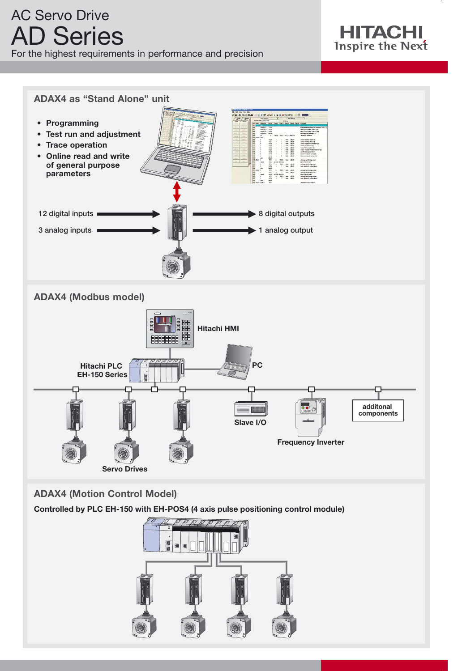# AC Servo Drive AD Series

For the highest requirements in performance and precision





# **ADAX4 (Motion Control Model)**

**Controlled by PLC EH-150 with EH-POS4 (4 axis pulse positioning control module)**

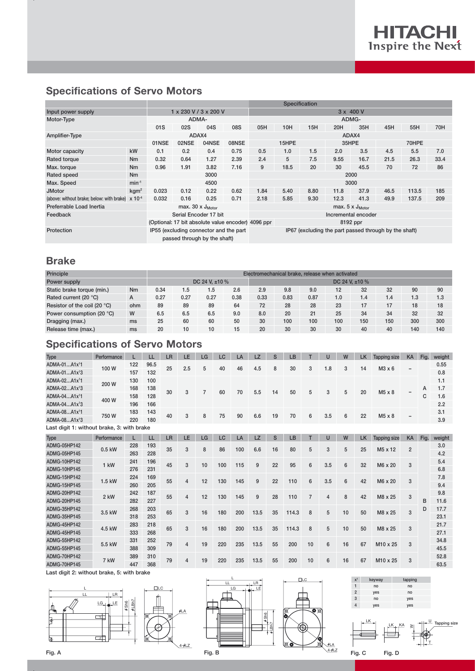# **Specifications of Servo Motors**

|                                           |                                  |                 |                                                                        |                                                    |                                                       |                           | <b>Specification</b> |       |      |       |      |       |      |  |  |
|-------------------------------------------|----------------------------------|-----------------|------------------------------------------------------------------------|----------------------------------------------------|-------------------------------------------------------|---------------------------|----------------------|-------|------|-------|------|-------|------|--|--|
| Input power supply                        |                                  |                 |                                                                        | 1 x 230 V / 3 x 200 V                              |                                                       | $3 \times 400$ V          |                      |       |      |       |      |       |      |  |  |
| Motor-Type                                |                                  |                 | ADMA-                                                                  |                                                    |                                                       | ADMG-                     |                      |       |      |       |      |       |      |  |  |
|                                           |                                  | 01 <sub>S</sub> | 02S                                                                    | 04S                                                | 08S                                                   | 05H                       | 10H                  | 45H   | 55H  | 70H   |      |       |      |  |  |
| Amplifier-Type                            |                                  | ADAX4           |                                                                        |                                                    |                                                       |                           |                      | ADAX4 |      |       |      |       |      |  |  |
|                                           | 02NSE<br>04NSE<br>01NSE<br>08NSE |                 |                                                                        |                                                    |                                                       | 15HPE                     |                      | 35HPE |      | 70HPE |      |       |      |  |  |
| Motor capacity                            | kW                               | 0.1             | 0.2                                                                    | 0.4                                                | 0.75                                                  | 0.5                       | 1.0                  | 1.5   | 2.0  | 3.5   | 4.5  | 5.5   | 7.0  |  |  |
| Rated torque                              | N <sub>m</sub>                   | 0.32            | 0.64                                                                   | 1.27                                               | 2.39                                                  | 2.4                       | 5                    | 7.5   | 9.55 | 16.7  | 21.5 | 26.3  | 33.4 |  |  |
| Max. torque                               | N <sub>m</sub>                   | 0.96            | 1.91                                                                   | 3.82                                               | 7.16                                                  | 9                         | 18.5                 | 20    | 30   | 45.5  | 70   | 72    | 86   |  |  |
| Rated speed                               | <b>Nm</b>                        |                 |                                                                        | 3000                                               |                                                       |                           | 2000                 |       |      |       |      |       |      |  |  |
| Max. Speed                                | $min-1$                          |                 |                                                                        | 4500                                               |                                                       | 3000                      |                      |       |      |       |      |       |      |  |  |
| <b>JMotor</b>                             | kgm <sup>2</sup>                 | 0.023           | 0.12                                                                   | 0.22                                               | 0.62                                                  | 1.84                      | 5.40                 | 8.80  | 11.8 | 37.9  | 46.5 | 113.5 | 185  |  |  |
| (above: without brake; below: with brake) | $x 10^{-4}$                      | 0.032           | 0.16                                                                   | 0.25                                               | 0.71                                                  | 2.18                      | 5.85                 | 9.30  | 12.3 | 41.3  | 49.9 | 137.5 | 209  |  |  |
| Preferrable Load Inertia                  |                                  |                 | max. 30 $\times$ J <sub>Motor</sub>                                    |                                                    |                                                       | max. $5 \times J_{Motor}$ |                      |       |      |       |      |       |      |  |  |
| Feedback                                  |                                  |                 |                                                                        | Serial Encoder 17 bit                              |                                                       | Incremental encoder       |                      |       |      |       |      |       |      |  |  |
|                                           |                                  |                 |                                                                        | (Optional: 17 bit absolute value encoder) 4096 ppr |                                                       | 8192 ppr                  |                      |       |      |       |      |       |      |  |  |
| Protection                                |                                  |                 | IP55 (excluding connector and the part<br>passed through by the shaft) |                                                    | IP67 (excluding the part passed through by the shaft) |                           |                      |       |      |       |      |       |      |  |  |

# **Brake**

| Principle                              | Electromechanical brake, release when activated |      |                     |      |                |      |      |      |     |     |     |     |     |
|----------------------------------------|-------------------------------------------------|------|---------------------|------|----------------|------|------|------|-----|-----|-----|-----|-----|
| Power supply                           |                                                 |      | DC 24 V. $\pm 10\%$ |      | DC 24 V. ±10 % |      |      |      |     |     |     |     |     |
| Static brake torque (min.)             | Nm                                              | 0.34 | 1.5                 | 1.5  | 2.6            | 2.9  | 9.8  | 9.0  | 12  | 32  | 32  | 90  | 90  |
| Rated current (20 °C)                  | A                                               | 0.27 | 0.27                | 0.27 | 0.38           | 0.33 | 0.83 | 0.87 | 1.0 | 1.4 | 1.4 | 1.3 | 1.3 |
| Resistor of the coil (20 $^{\circ}$ C) | ohm                                             | 89   | 89                  | 89   | 64             | 72   | 28   | 28   | 23  | 17  | 17  | 18  | 18  |
| Power consumption (20 °C)              | W                                               | 6.5  | 6.5                 | 6.5  | 9.0            | 8.0  | 20   | 21   | 25  | 34  | 34  | 32  | 32  |
| Dragging (max.)                        | ms                                              | 25   | 60                  | 60   | 50             | 30   | 100  | 100  | 100 | 150 | 150 | 300 | 300 |
| Release time (max.)                    | ms                                              | 20   | 10                  | 10   | 15             | 20   | 30   | 30   | 30  | 40  | 40  | 140 | 140 |

## **Specifications of Servo Motors**

| Type                                       | Performance |            | LL   | LR | LE  | LG | LC | LA | <b>LZ</b> | S  | LB |   |     | W | LK | <b>Tapping size</b> | <b>KA</b>                | Fig.   | weight |
|--------------------------------------------|-------------|------------|------|----|-----|----|----|----|-----------|----|----|---|-----|---|----|---------------------|--------------------------|--------|--------|
| ADMA-01A1x <sup>1</sup> 1                  | 100W        | 122        | 96.5 | 25 | 2.5 | 5  | 40 | 46 | 4.5       | 8  | 30 | 3 | 8.1 | 3 | 14 | $M3 \times 6$       |                          |        | 0.55   |
| ADMA-01A1x <sup>1</sup> 3                  |             | 157        | 132  |    |     |    |    |    |           |    |    |   |     |   |    |                     | -                        |        | 0.8    |
| ADMA-02A1x <sup>1</sup> 1                  | 200 W       | 130        | 100  |    |     |    |    |    |           |    |    |   |     |   |    |                     |                          |        | 1.1    |
| ADMA-02A1x <sup>1</sup> 3                  |             | 168        | 138  | 30 | 3   |    | 60 | 70 | 5.5       | 14 | 50 | 5 | 3   | 5 | 20 | $M5 \times 8$       | $\overline{\phantom{0}}$ | A<br>C | 1.7    |
| ADMA-04A1x <sup>1</sup> 1                  | 400 W       | 158        | 128  |    |     |    |    |    |           |    |    |   |     |   |    |                     |                          |        | 1.6    |
| ADMA-04A1x <sup>1</sup> 3                  |             | 196        | 166  |    |     |    |    |    |           |    |    |   |     |   |    |                     |                          |        | 2.2    |
| ADMA-08A1x <sup>1</sup> 1                  |             | 143<br>183 | 40   |    |     |    |    |    |           |    |    |   |     |   |    |                     |                          | 3.1    |        |
| $ADMA-08A1x13$                             | 750W        | 220        | 180  |    | 3   | 8  | 75 | 90 | 6.6       | 19 | 70 | 6 | 3.5 | 6 | 22 | $M5 \times 8$       | -                        |        | 3.9    |
| Loot digit 1+ without broke, 2+ with broke |             |            |      |    |     |    |    |    |           |    |    |   |     |   |    |                     |                          |        |        |

Last digit 1: without brake, 3: with brake

| Type         | Performance | L             | LL   | <b>LR</b> | LE  | LG  | LC  | LA  | LZ   | S    | LB    |       |     | W              | LK | <b>Tapping size</b>  | <b>KA</b>      | Fig.    | weight |      |                      |      |  |
|--------------|-------------|---------------|------|-----------|-----|-----|-----|-----|------|------|-------|-------|-----|----------------|----|----------------------|----------------|---------|--------|------|----------------------|------|--|
| ADMG-05HP142 | 0.5 kW      | 228           | 193  | 35        | 3   | 8   | 86  | 100 | 6.6  | 16   | 80    | 5     | 3   | 5              | 25 | M <sub>5</sub> x 12  | $\overline{2}$ |         | 3.0    |      |                      |      |  |
| ADMG-05HP145 |             | 263           | 228  |           |     |     |     |     |      |      |       |       |     |                |    |                      |                |         | 4.2    |      |                      |      |  |
| ADMG-10HP142 |             | 241           | 196  | 45        |     | 10  | 100 | 115 | 9    | 22   | 95    | 6     | 3.5 | 6              | 32 | M6 x 20              | 3              |         | 5.4    |      |                      |      |  |
| ADMG-10HP145 | $1$ kW      | 276           | 231  |           | 3   |     |     |     |      |      |       |       |     |                |    |                      |                |         | 6.8    |      |                      |      |  |
| ADMG-15HP142 | 1.5 kW      | 224           | 169  | 55        |     | 12  | 130 |     | 9    |      |       |       |     | 6              |    |                      |                |         | 7.8    |      |                      |      |  |
| ADMG-15HP145 |             | 260           | 205  |           | 4   |     |     | 145 |      | 22   | 110   | 6     | 3.5 |                | 42 | M6 x 20              | 3              |         | 9.4    |      |                      |      |  |
| ADMG-20HP142 |             |               | 2 kW | 242       | 187 | 55  | 4   | 12  | 130  | 145  | 9     | 28    | 110 | $\overline{7}$ |    | 8                    | 42             | M8 x 25 | 3      |      | 9.8                  |      |  |
| ADMG-20HP145 |             | 282           | 227  |           |     |     |     |     |      |      |       |       | 4   |                |    |                      |                | B       | 11.6   |      |                      |      |  |
| ADMG-35HP142 |             | 268<br>3.5 kW |      | 203       | 65  | 3   | 16  | 180 | 200  | 13.5 | 35    | 114.3 | 8   | 5              | 10 | 50                   | M8 x 25        | 3       | D      | 17.7 |                      |      |  |
| ADMG-35HP145 |             | 318           | 253  |           |     |     |     |     |      |      |       |       |     |                |    |                      |                |         | 23.1   |      |                      |      |  |
| ADMG-45HP142 |             |               |      |           | 283 | 218 |     | 3   | 16   | 180  |       |       |     |                |    |                      |                | 50      |        | 3    |                      | 21.7 |  |
| ADMG-45HP145 | 4.5 kW      | 333           | 268  | 65        |     |     |     | 200 | 13.5 | 35   | 114.3 | 8     | 5   | 10             |    | M8 x 25              |                |         | 27.1   |      |                      |      |  |
| ADMG-55HP142 |             | 331           | 252  | 79        |     |     | 220 | 235 | 13.5 | 55   | 200   | 10    |     | 16             | 67 | M <sub>10</sub> x 25 |                |         | 34.8   |      |                      |      |  |
| ADMG-55HP145 | 5.5 kW      | 388           | 309  |           | 4   | 19  |     |     |      |      |       |       | 6   |                |    |                      | 3              |         | 45.5   |      |                      |      |  |
| ADMG-70HP142 | 7 kW        | 389           |      | 310       |     |     | 19  | 220 | 235  |      | 55    |       | 10  |                |    |                      |                |         |        | 52.8 |                      |      |  |
| ADMG-70HP145 |             |               |      |           |     |     | 447 | 368 | 79   | 4    |       |       |     | 13.5           |    | 200                  |                | 6       | 16     | 67   | M <sub>10</sub> x 25 | 3    |  |

Last digit 2: without brake, 5: with brake









pping size Fig. C Fig. D